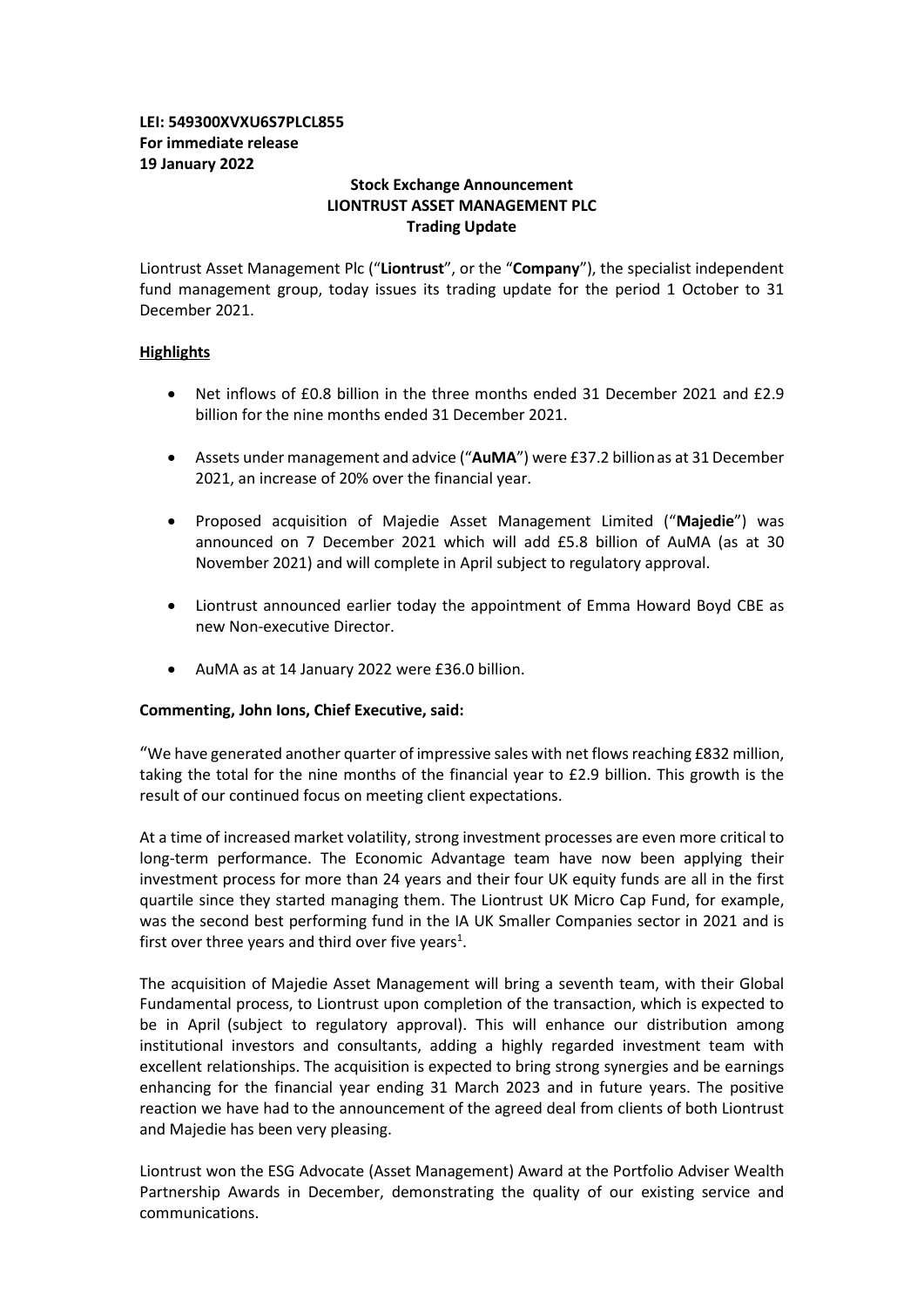# **LEI: 549300XVXU6S7PLCL855 For immediate release 19 January 2022**

# **Stock Exchange Announcement LIONTRUST ASSET MANAGEMENT PLC Trading Update**

Liontrust Asset Management Plc ("**Liontrust**", or the "**Company**"), the specialist independent fund management group, today issues its trading update for the period 1 October to 31 December 2021.

# **Highlights**

- Net inflows of £0.8 billion in the three months ended 31 December 2021 and £2.9 billion for the nine months ended 31 December 2021.
- Assets under management and advice ("**AuMA**") were £37.2 billionas at 31 December 2021, an increase of 20% over the financial year.
- Proposed acquisition of Majedie Asset Management Limited ("**Majedie**") was announced on 7 December 2021 which will add £5.8 billion of AuMA (as at 30 November 2021) and will complete in April subject to regulatory approval.
- Liontrust announced earlier today the appointment of Emma Howard Boyd CBE as new Non-executive Director.
- AuMA as at 14 January 2022 were £36.0 billion.

## **Commenting, John Ions, Chief Executive, said:**

"We have generated another quarter of impressive sales with net flows reaching £832 million, taking the total for the nine months of the financial year to £2.9 billion. This growth is the result of our continued focus on meeting client expectations.

At a time of increased market volatility, strong investment processes are even more critical to long-term performance. The Economic Advantage team have now been applying their investment process for more than 24 years and their four UK equity funds are all in the first quartile since they started managing them. The Liontrust UK Micro Cap Fund, for example, was the second best performing fund in the IA UK Smaller Companies sector in 2021 and is first over three years and third over five years<sup>1</sup>.

The acquisition of Majedie Asset Management will bring a seventh team, with their Global Fundamental process, to Liontrust upon completion of the transaction, which is expected to be in April (subject to regulatory approval). This will enhance our distribution among institutional investors and consultants, adding a highly regarded investment team with excellent relationships. The acquisition is expected to bring strong synergies and be earnings enhancing for the financial year ending 31 March 2023 and in future years. The positive reaction we have had to the announcement of the agreed deal from clients of both Liontrust and Majedie has been very pleasing.

Liontrust won the ESG Advocate (Asset Management) Award at the Portfolio Adviser Wealth Partnership Awards in December, demonstrating the quality of our existing service and communications.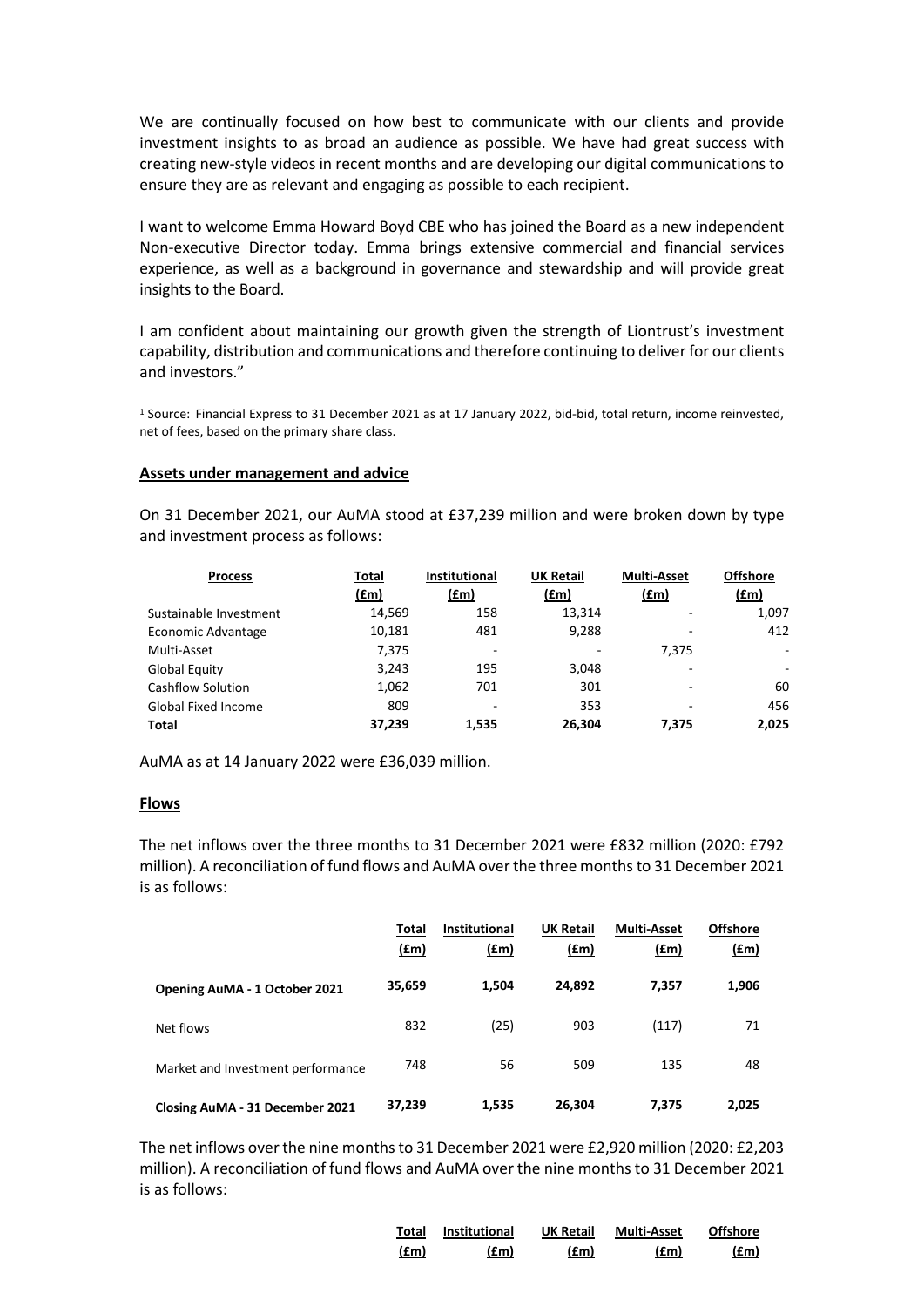We are continually focused on how best to communicate with our clients and provide investment insights to as broad an audience as possible. We have had great success with creating new-style videos in recent months and are developing our digital communications to ensure they are as relevant and engaging as possible to each recipient.

I want to welcome Emma Howard Boyd CBE who has joined the Board as a new independent Non-executive Director today. Emma brings extensive commercial and financial services experience, as well as a background in governance and stewardship and will provide great insights to the Board.

I am confident about maintaining our growth given the strength of Liontrust's investment capability, distribution and communications and therefore continuing to deliver for our clients and investors."

<sup>1</sup> Source: Financial Express to 31 December 2021 as at 17 January 2022, bid-bid, total return, income reinvested, net of fees, based on the primary share class.

## **Assets under management and advice**

On 31 December 2021, our AuMA stood at £37,239 million and were broken down by type and investment process as follows:

| <b>Process</b>             | Total       | <b>Institutional</b>         | <b>UK Retail</b> | <b>Multi-Asset</b>       | <b>Offshore</b> |
|----------------------------|-------------|------------------------------|------------------|--------------------------|-----------------|
|                            | <u>(£m)</u> | (fm)                         | (£m)             | (fm)                     | (fm)            |
| Sustainable Investment     | 14,569      | 158                          | 13,314           | -                        | 1,097           |
| Economic Advantage         | 10,181      | 481                          | 9,288            |                          | 412             |
| Multi-Asset                | 7,375       | $\qquad \qquad \blacksquare$ | -                | 7.375                    | ٠               |
| Global Equity              | 3,243       | 195                          | 3,048            |                          | ۰               |
| <b>Cashflow Solution</b>   | 1,062       | 701                          | 301              | $\overline{\phantom{0}}$ | 60              |
| <b>Global Fixed Income</b> | 809         | $\qquad \qquad \blacksquare$ | 353              | $\overline{\phantom{0}}$ | 456             |
| <b>Total</b>               | 37,239      | 1.535                        | 26,304           | 7.375                    | 2,025           |

AuMA as at 14 January 2022 were £36,039 million.

#### **Flows**

The net inflows over the three months to 31 December 2021 were £832 million (2020: £792 million). A reconciliation of fund flows and AuMA over the three monthsto 31 December 2021 is as follows:

|                                      | Total<br><u>(£m)</u> | <b>Institutional</b><br><u>(£m)</u> | <b>UK Retail</b><br>(£m) | <b>Multi-Asset</b><br>(fm) | <b>Offshore</b><br><u>(£m)</u> |
|--------------------------------------|----------------------|-------------------------------------|--------------------------|----------------------------|--------------------------------|
| <b>Opening AuMA - 1 October 2021</b> | 35,659               | 1,504                               | 24,892                   | 7,357                      | 1,906                          |
| Net flows                            | 832                  | (25)                                | 903                      | (117)                      | 71                             |
| Market and Investment performance    | 748                  | 56                                  | 509                      | 135                        | 48                             |
| Closing AuMA - 31 December 2021      | 37,239               | 1,535                               | 26,304                   | 7,375                      | 2,025                          |

The net inflows over the nine months to 31 December 2021 were £2,920 million (2020: £2,203 million). A reconciliation of fund flows and AuMA over the nine months to 31 December 2021 is as follows:

| Total | <b>Institutional</b> | <b>UK Retail</b> | <b>Multi-Asset</b> | <b>Offshore</b> |
|-------|----------------------|------------------|--------------------|-----------------|
| (fm)  | (£m)                 | (£m)             | (fm)               | (£m)            |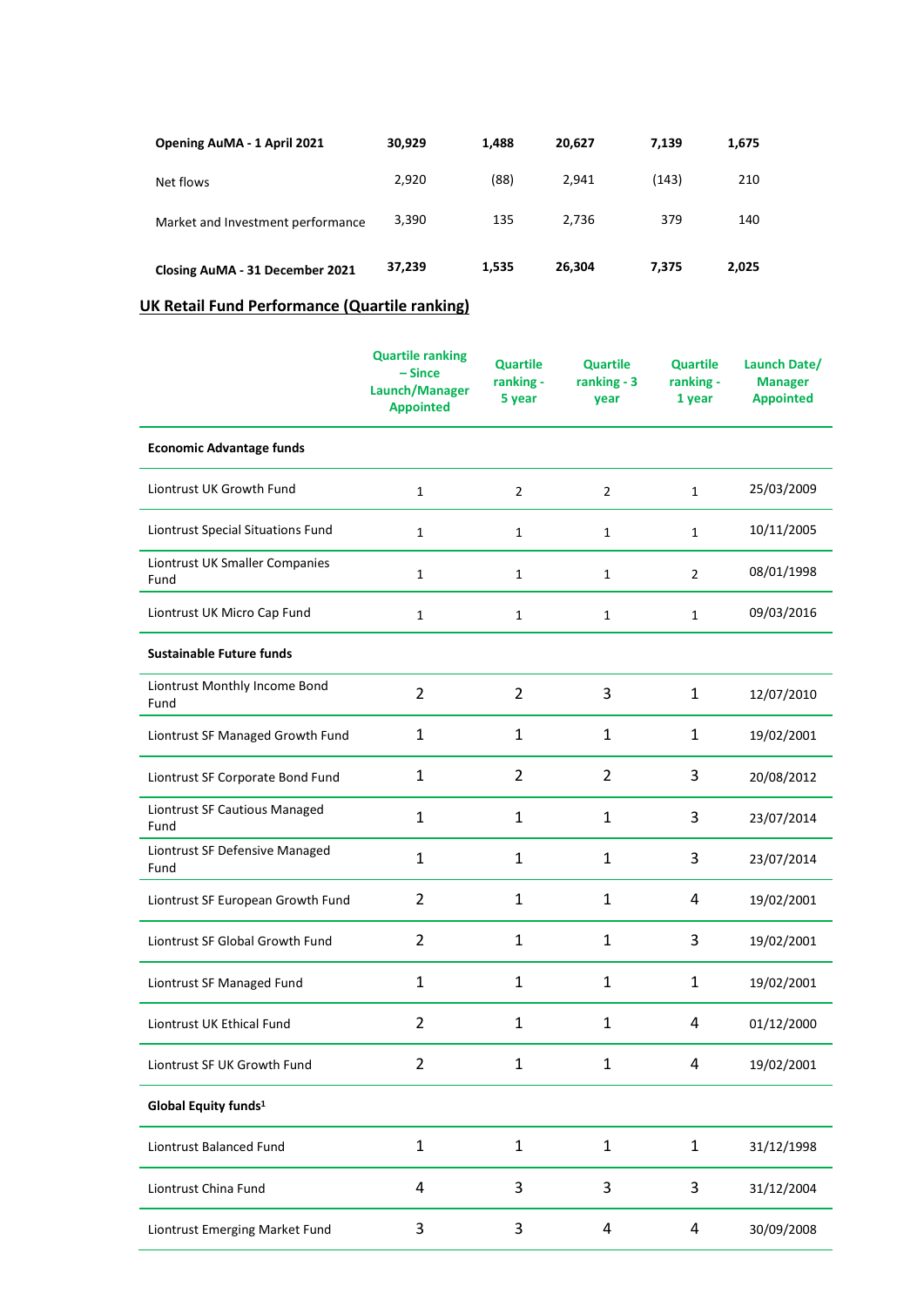| Opening AuMA - 1 April 2021       | 30,929 | 1,488 | 20.627 | 7.139 | 1,675 |
|-----------------------------------|--------|-------|--------|-------|-------|
| Net flows                         | 2,920  | (88)  | 2.941  | (143) | 210   |
| Market and Investment performance | 3.390  | 135   | 2.736  | 379   | 140   |
| Closing AuMA - 31 December 2021   | 37,239 | 1,535 | 26,304 | 7.375 | 2,025 |

# **UK Retail Fund Performance (Quartile ranking)**

|                                        | <b>Quartile ranking</b><br>$-Since$<br>Launch/Manager<br><b>Appointed</b> | <b>Quartile</b><br>ranking -<br>5 year | <b>Quartile</b><br>ranking - 3<br>year | <b>Quartile</b><br>ranking -<br>1 year | Launch Date/<br><b>Manager</b><br><b>Appointed</b> |
|----------------------------------------|---------------------------------------------------------------------------|----------------------------------------|----------------------------------------|----------------------------------------|----------------------------------------------------|
| <b>Economic Advantage funds</b>        |                                                                           |                                        |                                        |                                        |                                                    |
| Liontrust UK Growth Fund               | $\mathbf{1}$                                                              | $\overline{2}$                         | 2                                      | $\mathbf{1}$                           | 25/03/2009                                         |
| Liontrust Special Situations Fund      | $\mathbf{1}$                                                              | $\mathbf{1}$                           | 1                                      | 1                                      | 10/11/2005                                         |
| Liontrust UK Smaller Companies<br>Fund | $\mathbf{1}$                                                              | $\mathbf{1}$                           | 1                                      | $\overline{2}$                         | 08/01/1998                                         |
| Liontrust UK Micro Cap Fund            | 1                                                                         | $\mathbf{1}$                           | 1                                      | $\mathbf{1}$                           | 09/03/2016                                         |
| <b>Sustainable Future funds</b>        |                                                                           |                                        |                                        |                                        |                                                    |
| Liontrust Monthly Income Bond<br>Fund  | $\overline{2}$                                                            | $\overline{2}$                         | 3                                      | $\mathbf{1}$                           | 12/07/2010                                         |
| Liontrust SF Managed Growth Fund       | $\mathbf 1$                                                               | $\mathbf{1}$                           | $\mathbf{1}$                           | 1                                      | 19/02/2001                                         |
| Liontrust SF Corporate Bond Fund       | $\mathbf{1}$                                                              | $\overline{2}$                         | $\overline{2}$                         | 3                                      | 20/08/2012                                         |
| Liontrust SF Cautious Managed<br>Fund  | $\mathbf{1}$                                                              | $\mathbf{1}$                           | $\mathbf{1}$                           | 3                                      | 23/07/2014                                         |
| Liontrust SF Defensive Managed<br>Fund | 1                                                                         | 1                                      | 1                                      | 3                                      | 23/07/2014                                         |
| Liontrust SF European Growth Fund      | $\overline{2}$                                                            | 1                                      | 1                                      | 4                                      | 19/02/2001                                         |
| Liontrust SF Global Growth Fund        | $\overline{2}$                                                            | $\mathbf{1}$                           | $\mathbf{1}$                           | 3                                      | 19/02/2001                                         |
| Liontrust SF Managed Fund              | $\mathbf{1}$                                                              | 1                                      | 1                                      | $\mathbf{1}$                           | 19/02/2001                                         |
| Liontrust UK Ethical Fund              | $\overline{2}$                                                            | $\mathbf{1}$                           | 1                                      | 4                                      | 01/12/2000                                         |
| Liontrust SF UK Growth Fund            | 2                                                                         | 1                                      | $\mathbf{1}$                           | 4                                      | 19/02/2001                                         |
| Global Equity funds <sup>1</sup>       |                                                                           |                                        |                                        |                                        |                                                    |
| Liontrust Balanced Fund                | $\mathbf{1}$                                                              | $\mathbf{1}$                           | $\mathbf{1}$                           | $\mathbf{1}$                           | 31/12/1998                                         |
| Liontrust China Fund                   | 4                                                                         | 3                                      | 3                                      | 3                                      | 31/12/2004                                         |
| Liontrust Emerging Market Fund         | 3                                                                         | 3                                      | 4                                      | 4                                      | 30/09/2008                                         |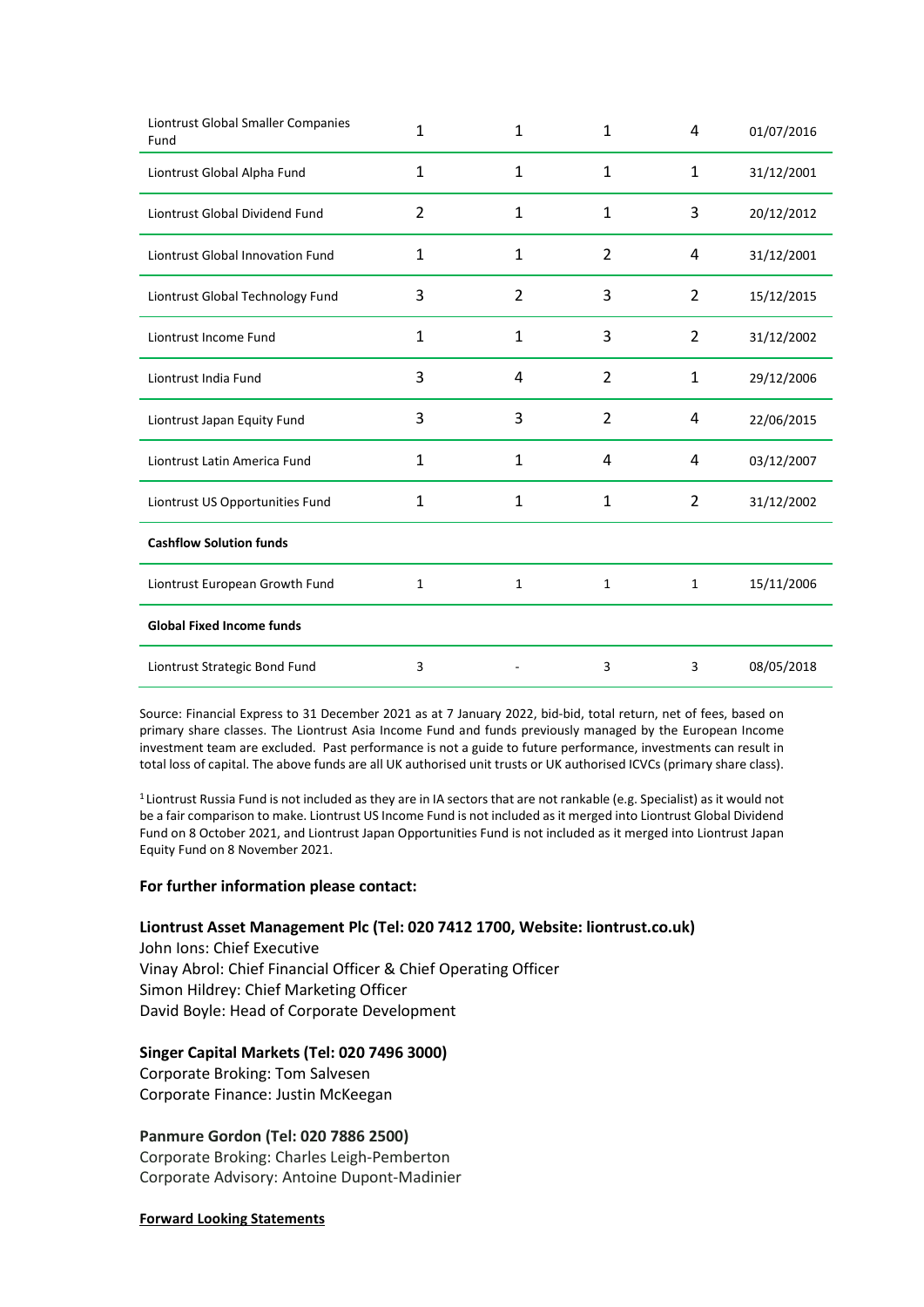| Liontrust Global Smaller Companies<br>Fund | $\mathbf{1}$ | $\mathbf{1}$ | 1              | 4              | 01/07/2016 |
|--------------------------------------------|--------------|--------------|----------------|----------------|------------|
| Liontrust Global Alpha Fund                | 1            | 1            | 1              | 1              | 31/12/2001 |
| Liontrust Global Dividend Fund             | 2            | $\mathbf{1}$ | 1              | 3              | 20/12/2012 |
| <b>Liontrust Global Innovation Fund</b>    | 1            | 1            | $\overline{2}$ | 4              | 31/12/2001 |
| Liontrust Global Technology Fund           | 3            | 2            | 3              | 2              | 15/12/2015 |
| Liontrust Income Fund                      | 1            | $\mathbf{1}$ | 3              | 2              | 31/12/2002 |
| Liontrust India Fund                       | 3            | 4            | $\overline{2}$ | $\mathbf{1}$   | 29/12/2006 |
| Liontrust Japan Equity Fund                | 3            | 3            | $\overline{2}$ | 4              | 22/06/2015 |
| Liontrust Latin America Fund               | 1            | 1            | 4              | 4              | 03/12/2007 |
| Liontrust US Opportunities Fund            | 1            | 1            | 1              | $\overline{2}$ | 31/12/2002 |
| <b>Cashflow Solution funds</b>             |              |              |                |                |            |
| Liontrust European Growth Fund             | 1            | 1            | 1              | $\mathbf{1}$   | 15/11/2006 |
| <b>Global Fixed Income funds</b>           |              |              |                |                |            |
| Liontrust Strategic Bond Fund              | 3            |              | 3              | 3              | 08/05/2018 |

Source: Financial Express to 31 December 2021 as at 7 January 2022, bid-bid, total return, net of fees, based on primary share classes. The Liontrust Asia Income Fund and funds previously managed by the European Income investment team are excluded. Past performance is not a guide to future performance, investments can result in total loss of capital. The above funds are all UK authorised unit trusts or UK authorised ICVCs (primary share class).

<sup>1</sup> Liontrust Russia Fund is not included as they are in IA sectors that are not rankable (e.g. Specialist) as it would not be a fair comparison to make. Liontrust US Income Fund is not included as it merged into Liontrust Global Dividend Fund on 8 October 2021, and Liontrust Japan Opportunities Fund is not included as it merged into Liontrust Japan Equity Fund on 8 November 2021.

## **For further information please contact:**

## **Liontrust Asset Management Plc (Tel: 020 7412 1700, Website: liontrust.co.uk)**

John Ions: Chief Executive Vinay Abrol: Chief Financial Officer & Chief Operating Officer Simon Hildrey: Chief Marketing Officer David Boyle: Head of Corporate Development

#### **Singer Capital Markets (Tel: 020 7496 3000)**

Corporate Broking: Tom Salvesen Corporate Finance: Justin McKeegan

## **Panmure Gordon (Tel: 020 7886 2500)**

Corporate Broking: Charles Leigh-Pemberton Corporate Advisory: Antoine Dupont-Madinier

#### **Forward Looking Statements**